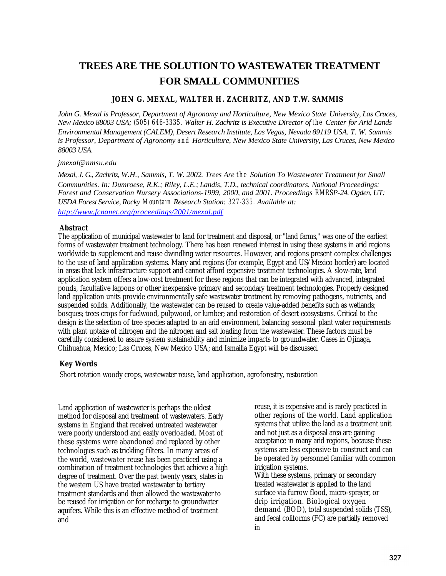# **TREES ARE THE SOLUTION TO WASTEWATER TREATMENT FOR SMALL COMMUNITIES**

## **JOHN G. MEXAL, WALTER H. ZACHRITZ, AND T.W. SAMMIS**

*John G. Mexal is Professor, Department of Agronomy and Horticulture, New Mexico State University, Las Cruces, New Mexico 88003 USA; (505) 646-3335. Walter H. Zachritz is Executive Director of the Center for Arid Lands Environmental Management (CALEM), Desert Research Institute, Las Vegas, Nevada 89119 USA. T. W. Sammis is Professor, Department of Agronomy and Horticulture, New Mexico State University, Las Cruces, New Mexico 88003 USA.*

#### *jmexal@nmsu.edu*

*Mexal, J. G., Zachritz, W.H., Sammis, T. W. 2002. Trees Are the Solution To Wastewater Treatment for Small Communities. In: Dumroese, R.K.; Riley, L.E.; Landis, T.D., technical coordinators. National Proceedings: Forest and Conservation Nursery Associations-1999, 2000, and 2001. Proceedings RMRSP-24. Ogden, UT: USDA Forest Service, Rocky Mountain Research Station: 327-335. Available at: http://www.fcnanet.org/proceedings/2001/mexal.pdf*

## **Abstract**

The application of municipal wastewater to land for treatment and disposal, or "land farms," was one of the earliest forms of wastewater treatment technology. There has been renewed interest in using these systems in arid regions worldwide to supplement and reuse dwindling water resources. However, arid regions present complex challenges to the use of land application systems. Many arid regions (for example, Egypt and US/Mexico border) are located in areas that lack infrastructure support and cannot afford expensive treatment technologies. A slow-rate, land application system offers a low-cost treatment for these regions that can be integrated with advanced, integrated ponds, facultative lagoons or other inexpensive primary and secondary treatment technologies. Properly designed land application units provide environmentally safe wastewater treatment by removing pathogens, nutrients, and suspended solids. Additionally, the wastewater can be reused to create value-added benefits such as wetlands; bosques; trees crops for fuelwood, pulpwood, or lumber; and restoration of desert ecosystems. Critical to the design is the selection of tree species adapted to an arid environment, balancing seasonal plant water requirements with plant uptake of nitrogen and the nitrogen and salt loading from the wastewater. These factors must be carefully considered to assure system sustainability and minimize impacts to groundwater. Cases in Ojinaga, Chihuahua, Mexico; Las Cruces, New Mexico USA; and Ismailia Egypt will be discussed.

# **Key Words**

Short rotation woody crops, wastewater reuse, land application, agroforestry, restoration

Land application of wastewater is perhaps the oldest method for disposal and treatment of wastewaters. Early systems in England that received untreated wastewater were poorly understood and easily overloaded. Most of these systems were abandoned and replaced by other technologies such as trickling filters. In many areas of the world, wastewa ter reuse has been practiced using a combination of treatment technologies that achieve a high degree of treatment. Over the past twenty years, states in the western US have treated wastewater to tertiary treatment standards and then allowed the wastewater to be reused for irrigation or for recharge to groundwater aquifers. While this is an effective method of treatment and

reuse, it is expensive and is rarely practiced in other regions of the world. Land application systems that utilize the land as a treatment unit and not just as a disposal area are gaining acceptance in many arid regions, because these systems are less expensive to construct and can be operated by personnel familiar with common irrigation systems. With these systems, primary or secondary treated wastewater is applied to the land surface via furrow flood, micro-sprayer, or drip irrigation. Biological oxygen demand (BOD), total suspended solids (TSS), and fecal coliforms (FC) are partially removed in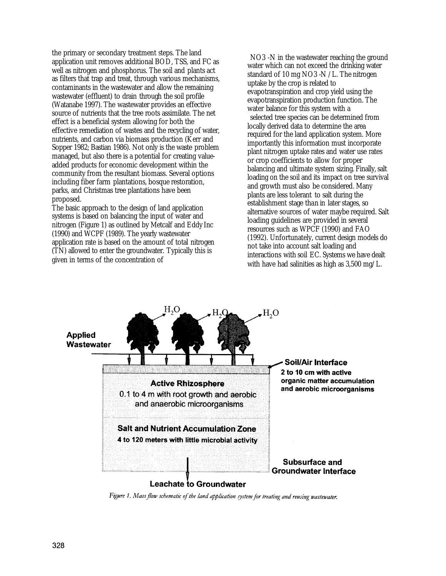the primary or secondary treatment steps. The land application unit removes additional BOD, TSS, and FC as well as nitrogen and phosphorus. The soil and plants act as filters that trap and treat, through various mechanisms, contaminants in the wastewater and allow the remaining wastewater (effluent) to drain through the soil profile (Watanabe 1997). The wastewater provides an effective source of nutrients that the tree roots assimilate. The net effect is a beneficial system allowing for both the effective remediation of wastes and the recycling of water, nutrients, and carbon via biomass production (Kerr and Sopper 1982; Bastian 1986). Not only is the waste problem managed, but also there is a potential for creating valueadded products for economic development within the community from the resultant biomass. Several options including fiber farm plantations, bosque restoration, parks, and Christmas tree plantations have been proposed.

The basic approach to the design of land application systems is based on balancing the input of water and nitrogen (Figure 1) as outlined by Metcalf and Eddy Inc (1990) and WCPF (1989). The yearly wastewater application rate is based on the amount of total nitrogen (TN) allowed to enter the groundwater. Typically this is given in terms of the concentration of

NO3 -N in the wastewater reaching the ground water which can not exceed the drinking water standard of 10 mg NO3 -N /L. The nitrogen uptake by the crop is related to evapotranspiration and crop yield using the evapotranspiration production function. The water balance for this system with a selected tree species can be determined from locally derived data to determine the area required for the land application system. More importantly this information must incorporate plant nitrogen uptake rates and water use rates or crop coefficients to allow for proper balancing and ultimate system sizing. Finally, salt loading on the soil and its impact on tree survival and growth must also be considered. Many plants are less tolerant to salt during the establishment stage than in later stages, so alternative sources of water maybe required. Salt loading guidelines are provided in several resources such as WPCF (1990) and FAO (1992). Unfortunately, current design models do not take into account salt loading and interactions with soil EC. Systems we have dealt with have had salinities as high as 3,500 mg/L.



Figure 1. Mass flow schematic of the land application system for treating and reusing wastewater.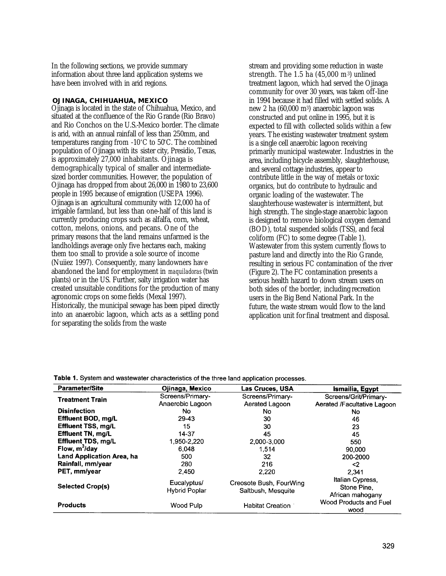In the following sections, we provide summary information about three land application systems we have been involved with in arid regions.

#### **OJINAGA, CHIHUAHUA, MEXICO**

Ojinaga is located in the state of Chihuahua, Mexico, and situated at the confluence of the Rio Grande (Rio Bravo) and Rio Conchos on the U.S.-Mexico border. The climate is arid, with an annual rainfall of less than 250mm, and temperatures ranging from -10°C to 50°C. The combined population of Ojinaga with its sister city, Presidio, Texas, is approximately 27,000 inhabitants. Ojinaga is demographically typical of smaller and intermediatesized border communities. However, the population of Ojinaga has dropped from about 26,000 in 1980 to 23,600 people in 1995 because of emigration (USEPA 1996). Ojinaga is an agricultural community with 12,000 ha of irrigable farmland, but less than one-half of this land is currently producing crops such as alfalfa, corn, wheat, cotton, melons, onions, and pecans. One of the primary reasons that the land remains unfarmed is the landholdings average only five hectares each, making them too small to provide a sole source of income (Nuiiez 1997). Consequently, many landowners have abandoned the land for employment in *maquiladoras* (twin plants) or in the US. Further, salty irrigation water has created unsuitable conditions for the production of many agronomic crops on some fields (Mexal 1997). Historically, the municipal sewage has been piped directly into an anaerobic lagoon, which acts as a settling pond for separating the solids from the waste

stream and providing some reduction in waste strength. The  $1.5$  ha  $(45,000 \text{ m}^3)$  unlined treatment lagoon, which had served the Ojinaga community for over 30 years, was taken off-line in 1994 because it had filled with settled solids. A new 2 ha (60,000 m3) anaerobic lagoon was constructed and put online in 1995, but it is expected to fill with collected solids within a few years. The existing wastewater treatment system is a single cell anaerobic lagoon receiving primarily municipal wastewater. Industries in the area, including bicycle assembly, slaughterhouse, and several cottage industries, appear to contribute little in the way of metals or toxic organics, but do contribute to hydraulic and organic loading of the wastewater. The slaughterhouse wastewater is intermittent, but high strength. The single-stage anaerobic lagoon is designed to remove biological oxygen demand (BOD), total suspended solids (TSS), and fecal coliform (FC) to some degree (Table 1). Wastewater from this system currently flows to pasture land and directly into the Rio Grande, resulting in serious FC contamination of the river (Figure 2). The FC contamination presents a serious health hazard to down stream users on both sides of the border, including recreation users in the Big Bend National Park. In the future, the waste stream would flow to the land application unit for final treatment and disposal.

| <b>Parameter/Site</b>            | Ojinaga, Mexico      | Las Cruces, USA         | Ismailia, Egypt                 |
|----------------------------------|----------------------|-------------------------|---------------------------------|
| <b>Treatment Train</b>           | Screens/Primary-     | Screens/Primary-        | Screens/Grit/Primary-           |
|                                  | Anaerobic Lagoon     | Aerated Lagoon          | Aerated /Facultative Lagoon     |
| <b>Disinfection</b>              | No                   | No.                     | No                              |
| Effluent BOD, mg/L               | 29-43                | 30                      | 46                              |
| <b>Effluent TSS, mg/L</b>        | 15                   | 30                      | 23                              |
| Effluent TN, mg/L                | 14-37                | 45                      | 45                              |
| <b>Effluent TDS, mg/L</b>        | 1.950-2.220          | 2,000-3,000             | 550                             |
| Flow, $m^3$ /day                 | 6.048                | 1.514                   | 90.000                          |
| <b>Land Application Area, ha</b> | 500                  | 32                      | 200-2000                        |
| Rainfall, mm/year                | 280                  | 216                     | <2                              |
| PET, mm/year                     | 2.450                | 2,220                   | 2.341                           |
| <b>Selected Crop(s)</b>          | Eucalyptus/          | Creosote Bush, FourWing | Italian Cypress,                |
|                                  | <b>Hybrid Poplar</b> | Saltbush, Mesquite      | Stone Pine.<br>African mahogany |
| <b>Products</b>                  | Wood Pulp            | Habitat Creation        | Wood Products and Fuel<br>wood  |

Table 1. System and wastewater characteristics of the three land application processes.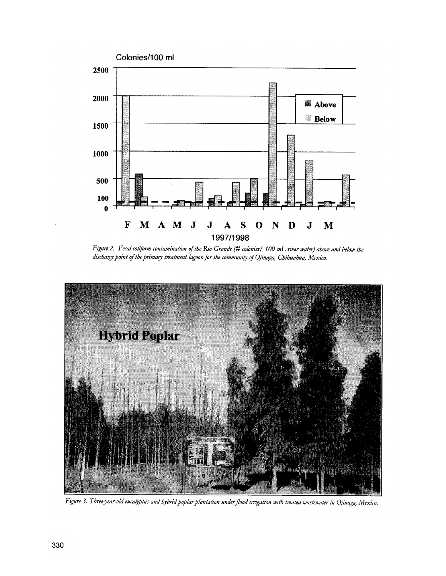

Figure 2. Fecal coliform contamination of the Rio Grande (# colonies/ 100 mL river water) above and below the discharge point of the primary treatment lagoon for the community of Ojinaga, Chihuahua, Mexico.



Figure 3. Three-year-old eucalyptus and hybrid poplar plantation under flood irrigation with treated wastewater in Ojinaga, Mexico.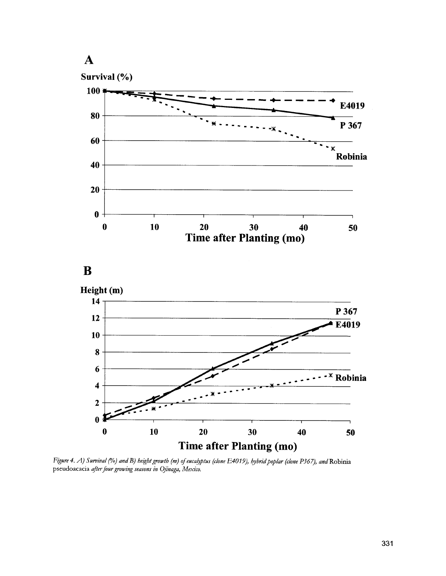

Figure 4. A) Survival (%) and B) beight growth (m) of eucalyptus (clone E4019), hybrid poplar (clone P367), and Robinia pseudoacacia after four growing seasons in Ojinaga, Mexico.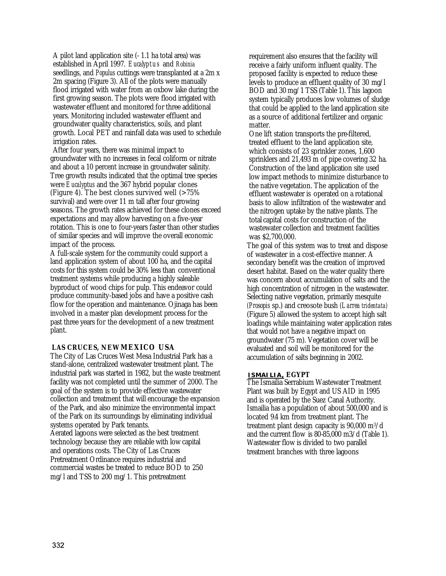A pilot land application site (- 1.1 ha total area) was established in April 1997. *Eucalyptus* and *Robinia*  seedlings, and *Populus* cuttings were transplanted at a 2m x 2m spacing (Figure 3). All of the plots were manually flood irrigated with water from an oxbow lake during the first growing season. The plots were flood irrigated with wastewater effluent and monitored for three additional years. Monitoring included wastewater effluent and groundwater quality characteristics, soils, and plant growth. Local PET and rainfall data was used to schedule irrigation rates.

After four years, there was minimal impact to groundwater with no increases in fecal coliform or nitrate and about a 10 percent increase in groundwater salinity. Tree growth results indicated that the optimal tree species were *Eucalyptus* and the 367 hybrid popular clones (Figure 4). The best clones survived well  $($ >75% survival) and were over 11 m tall after four growing seasons. The growth rates achieved for these clones exceed expectations and may allow harvesting on a five-year rotation. This is one to four-years faster than other studies of similar species and will improve the overall economic impact of the process.

A full-scale system for the community could support a land application system of about 100 ha, and the capital costs for this system could be 30% less than conventional treatment systems while producing a highly saleable byproduct of wood chips for pulp. This endeavor could produce community-based jobs and have a positive cash flow for the operation and maintenance. Ojinaga has been involved in a master plan development process for the past three years for the development of a new treatment plant.

# **LAS CRUCES, NEW MEXICO USA**

The City of Las Cruces West Mesa Industrial Park has a stand-alone, centralized wastewater treatment plant. The industrial park was started in 1982, but the waste treatment facility was not completed until the summer of 2000. The goal of-the system is to provide effective wastewater collection and treatment that will encourage the expansion of the Park, and also minimize the environmental impact of the Park on its surroundings by eliminating individual systems operated by Park tenants. Aerated lagoons were selected as the best treatment technology because they are reliable with low capital and operations costs. The City of Las Cruces Pretreatment Ordinance requires industrial and commercial wastes be treated to reduce BOD to 250 mg/l and TSS to 200 mg/1. This pretreatment

requirement also ensures that the facility will receive a fairly uniform influent quality. The proposed facility is expected to reduce these levels to produce an effluent quality of 30 mg/l BOD and 30 mg/1 TSS (Table 1). This lagoon system typically produces low volumes of sludge that could be applied to the land application site as a source of additional fertilizer and organic matter.

One lift station transports the pre-filtered, treated effluent to the land application site, which consists of 23 sprinkler zones, 1,600 sprinklers and 21,493 m of pipe covering 32 ha. Construction of the land application site used low impact methods to minimize disturbance to the native vegetation. The application of the effluent wastewater is operated on a rotational basis to allow infiltration of the wastewater and the nitrogen uptake by the native plants. The total capital costs for construction of the wastewater collection and treatment facilities was \$2,700,000.

The goal of this system was to treat and dispose of wastewater in a cost-effective manner. A secondary benefit was the creation of improved desert habitat. Based on the water quality there was concern about accumulation of salts and the high concentration of nitrogen in the wastewater. Selecting native vegetation, primarily mesquite *(Prosopis* sp.) and creosote bush *(Larrea tridentata)*  (Figure 5) allowed the system to accept high salt loadings while maintaining water application rates that would not have a negative impact on groundwater (75 m). Vegetation cover will be evaluated and soil will be monitored for the accumulation of salts beginning in 2002.

## **ISMAILIA, EGYPT**

The Ismailia Serrabium Wastewater Treatment Plant was built by Egypt and US AID in 1995 and is operated by the Suez Canal Authority. Ismailia has a population of about 500,000 and is located 9.4 km from treatment plant. The treatment plant design capacity is 90,000 m3/d and the current flow is 80-85,000 m3/d (Table 1). Wastewater flow is divided to two parallel treatment branches with three lagoons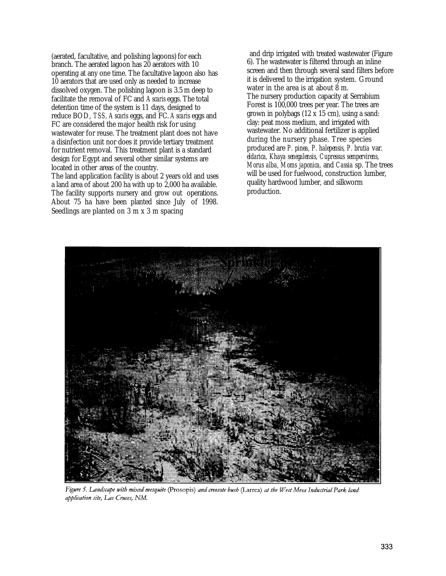(aerated, facultative, and polishing lagoons) for each branch. The aerated lagoon has 20 aerators with 10 operating at any one time. The facultative lagoon also has 10 aerators that are used only as needed to increase dissolved oxygen. The polishing lagoon is 3.5 m deep to facilitate the removal of FC and *Ascaris* eggs. The total detention time of the system is 11 days, designed to reduce BOD, *TSS, Ascaris* eggs, and FC. *Ascaris* eggs and FC are considered the major health risk for using wastewater for reuse. The treatment plant does not have a disinfection unit nor does it provide tertiary treatment for nutrient removal. This treatment plant is a standard design for Egypt and several other similar systems are located in other areas of the country.

The land application facility is about 2 years old and uses a land area of about 200 ha with up to 2,000 ha available. The facility supports nursery and grow out operations. About 75 ha have been planted since July of 1998. Seedlings are planted on 3 m x 3 m spacing

and drip irrigated with treated wastewater (Figure 6). The wastewater is filtered through an inline screen and then through several sand filters before it is delivered to the irrigation system. Ground water in the area is at about 8 m. The nursery production capacity at Serrabium Forest is 100,000 trees per year. The trees are grown in polybags (12 x 15 cm), using a sand: clay: peat moss medium, and irrigated with wastewater. No additional fertilizer is applied during the nursery phase. Tree species produced are *P. pinea, P. halepensis, P. brutia* var. *eldarica, Khaya senegalensis, Cupressus sempervirens, Morus alba, Moms japonica,* and *Cassia* sp. The trees will be used for fuelwood, construction lumber, quality hardwood lumber, and silkworm production.



Figure 5. Landscape with mixed mesquite (Prosopis) and creosote bush (Larrea) at the West Mesa Industrial Park land application site, Las Cruces, NM.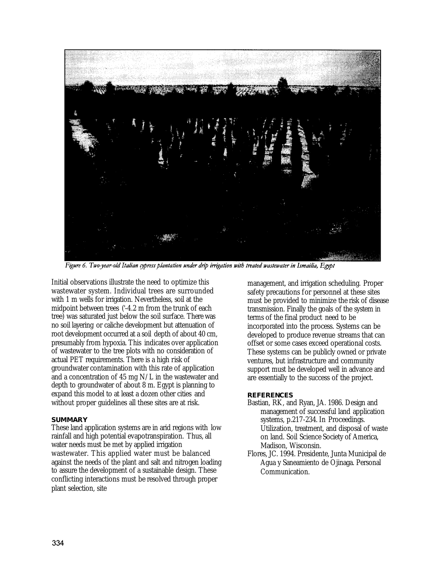

Figure 6. Two-year-old Italian cypress plantation under drip irrigation with treated wastewater in Ismailia, Egypt

Initial observations illustrate the need to optimize this wastewater system. Individual trees are surrounded with 1 m wells for irrigation. Nevertheless, soil at the midpoint between trees ('-4.2 m from the trunk of each tree) was saturated just below the soil surface. There was no soil layering or caliche development but attenuation of root development occurred at a soil depth of about 40 cm, presumably from hypoxia. This indicates over application of wastewater to the tree plots with no consideration of actual PET requirements. There is a high risk of groundwater contamination with this rate of application and a concentration of 45 mg N/L in the wastewater and depth to groundwater of about 8 m. Egypt is planning to expand this model to at least a dozen other cities and without proper guidelines all these sites are at risk.

## **SUMMARY**

These land application systems are in arid regions with low rainfall and high potential evapotranspiration. Thus, all water needs must be met by applied irrigation wastewater. This applied water must be balanced against the needs of the plant and salt and nitrogen loading to assure the development of a sustainable design. These conflicting interactions must be resolved through proper plant selection, site

management, and irrigation scheduling. Proper safety precautions for personnel at these sites must be provided to minimize the risk of disease transmission. Finally the goals of the system in terms of the final product need to be incorporated into the process. Systems can be developed to produce revenue streams that can offset or some cases exceed operational costs. These systems can be publicly owned or private ventures, but infrastructure and community support must be developed well in advance and are essentially to the success of the project.

#### **REFERENCES**

- Bastian, RK, and Ryan, JA. 1986. Design and management of successful land application systems, p.217-234. In Proceedings. Utilization, treatment, and disposal of waste on land. Soil Science Society of America, Madison, Wisconsin.
- Flores, JC. 1994. Presidente, Junta Municipal de Agua y Saneamiento de Ojinaga. Personal Communication.